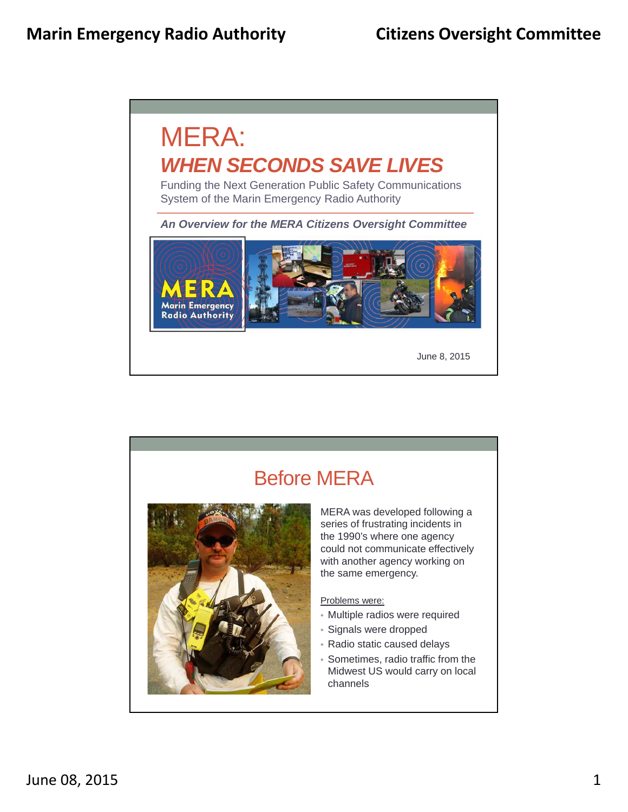

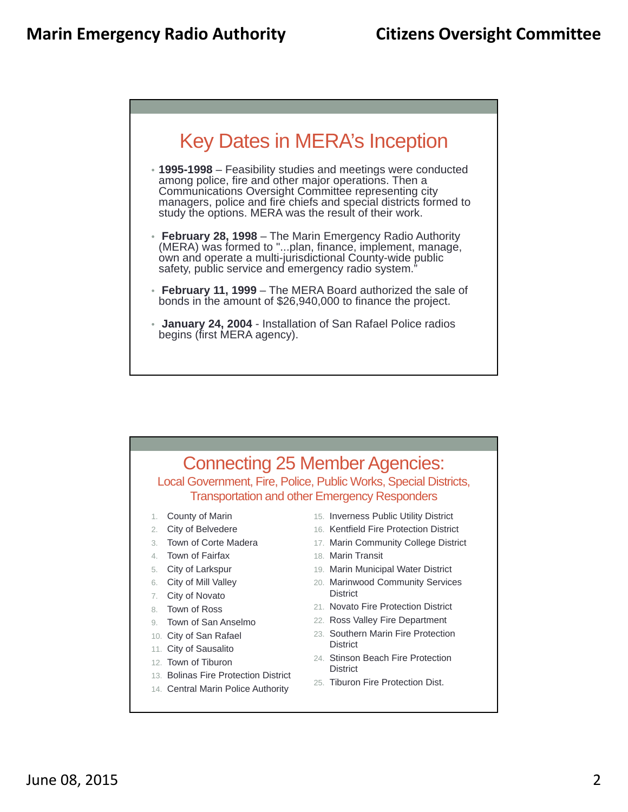

- **1995-1998**  Feasibility studies and meetings were conducted among police, fire and other major operations. Then a Communications Oversight Committee representing city managers, police and fire chiefs and special districts formed to study the options. MERA was the result of their work.
- **February 28, 1998**  The Marin Emergency Radio Authority (MERA) was formed to "...plan, finance, implement, manage, own and operate a multi-jurisdictional County-wide public safety, public service and emergency radio system.
- **February 11, 1999**  The MERA Board authorized the sale of bonds in the amount of \$26,940,000 to finance the project.
- **January 24, 2004**  Installation of San Rafael Police radios begins (first MERA agency).

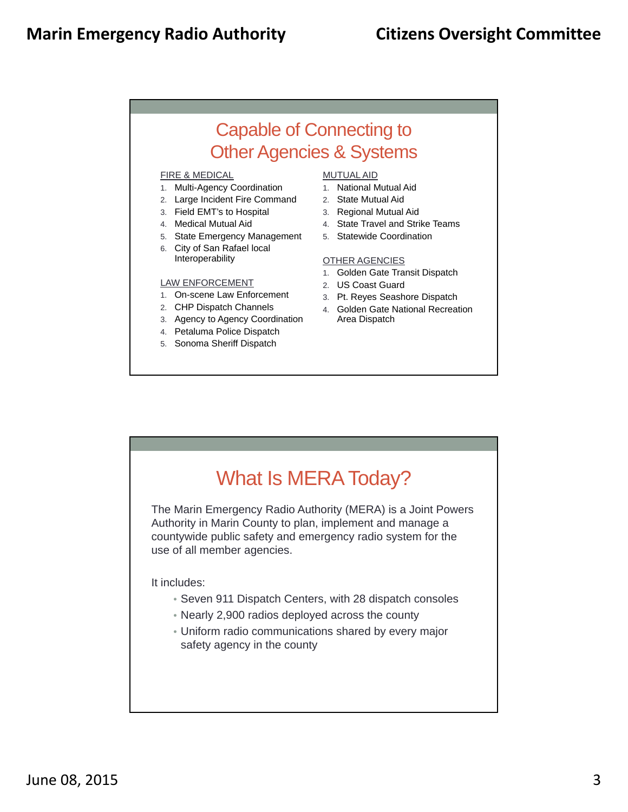### Capable of Connecting to Other Agencies & Systems

#### FIRE & MEDICAL

- 1. Multi-Agency Coordination
- 2. Large Incident Fire Command
- 3. Field EMT's to Hospital
- 4. Medical Mutual Aid
- 5. State Emergency Management
- 6. City of San Rafael local Interoperability

#### LAW ENFORCEMENT

- 1. On-scene Law Enforcement
- 2. CHP Dispatch Channels
- 3. Agency to Agency Coordination
- 4. Petaluma Police Dispatch
- 5. Sonoma Sheriff Dispatch

#### MUTUAL AID

- 1. National Mutual Aid
- 2. State Mutual Aid
- 3. Regional Mutual Aid
- 4. State Travel and Strike Teams
- 5. Statewide Coordination

#### OTHER AGENCIES

- 1. Golden Gate Transit Dispatch
- 2. US Coast Guard
- 3. Pt. Reyes Seashore Dispatch
- 4. Golden Gate National Recreation Area Dispatch

# What Is MERA Today? The Marin Emergency Radio Authority (MERA) is a Joint Powers Authority in Marin County to plan, implement and manage a countywide public safety and emergency radio system for the use of all member agencies. It includes: • Seven 911 Dispatch Centers, with 28 dispatch consoles • Nearly 2,900 radios deployed across the county • Uniform radio communications shared by every major safety agency in the county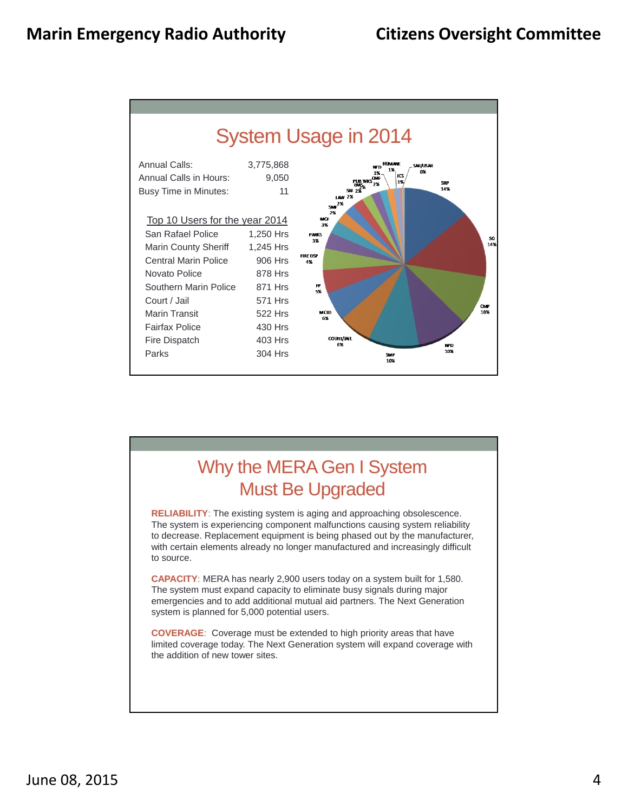

### Why the MERA Gen I System Must Be Upgraded

**RELIABILITY**: The existing system is aging and approaching obsolescence. The system is experiencing component malfunctions causing system reliability to decrease. Replacement equipment is being phased out by the manufacturer, with certain elements already no longer manufactured and increasingly difficult to source.

**CAPACITY**: MERA has nearly 2,900 users today on a system built for 1,580. The system must expand capacity to eliminate busy signals during major emergencies and to add additional mutual aid partners. The Next Generation system is planned for 5,000 potential users.

**COVERAGE**: Coverage must be extended to high priority areas that have limited coverage today. The Next Generation system will expand coverage with the addition of new tower sites.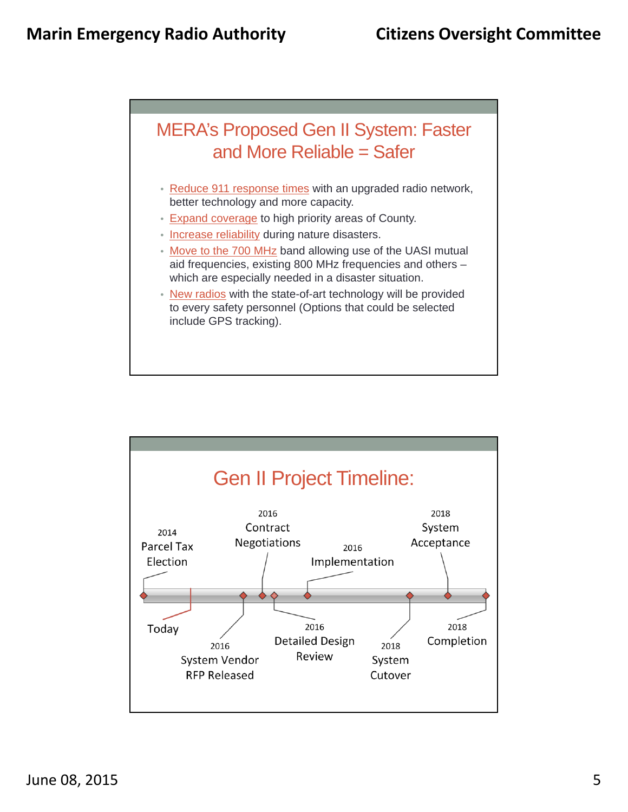

- Reduce 911 response times with an upgraded radio network, better technology and more capacity.
- Expand coverage to high priority areas of County.
- Increase reliability during nature disasters.
- Move to the 700 MHz band allowing use of the UASI mutual aid frequencies, existing 800 MHz frequencies and others – which are especially needed in a disaster situation.
- New radios with the state-of-art technology will be provided to every safety personnel (Options that could be selected include GPS tracking).

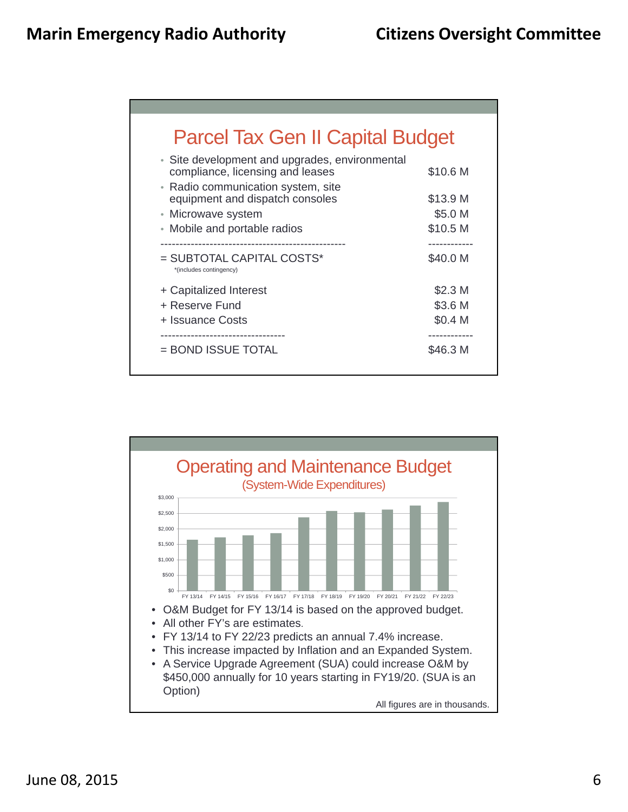| <b>Parcel Tax Gen II Capital Budget</b>                                                                                  |                    |
|--------------------------------------------------------------------------------------------------------------------------|--------------------|
| • Site development and upgrades, environmental<br>compliance, licensing and leases<br>• Radio communication system, site | \$10.6 M           |
| equipment and dispatch consoles                                                                                          | \$13.9 M           |
| • Microwave system                                                                                                       | \$5.0 M            |
| • Mobile and portable radios                                                                                             | \$10.5 M           |
|                                                                                                                          |                    |
| = SUBTOTAL CAPITAL COSTS*<br>*(includes contingency)                                                                     | \$40.0 M           |
| + Capitalized Interest                                                                                                   | \$2.3 <sub>M</sub> |
| + Reserve Fund                                                                                                           | \$3.6 M            |
| + Issuance Costs                                                                                                         | \$0.4 M            |
|                                                                                                                          |                    |

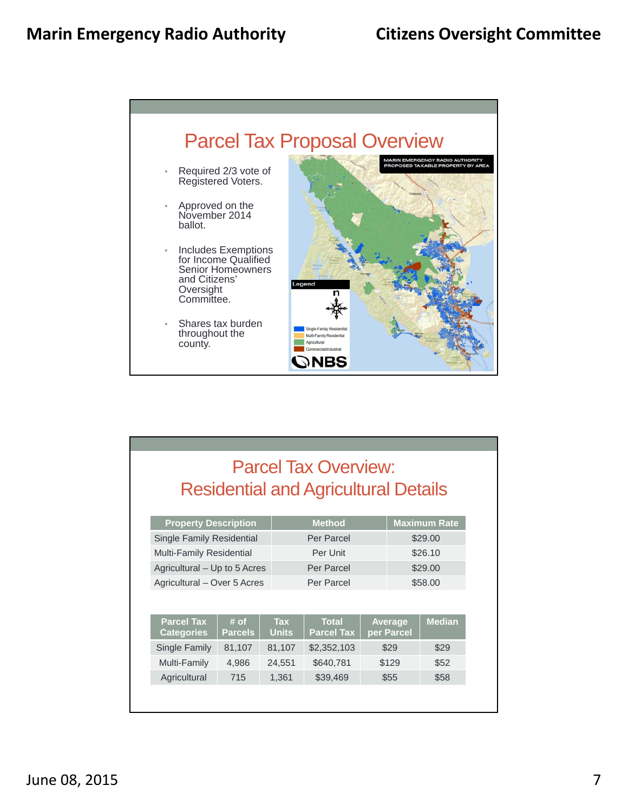

## Parcel Tax Overview: Residential and Agricultural Details

| <b>Property Description</b>            |                        |                            | <b>Method</b>                     | <b>Maximum Rate</b> |                       |               |  |
|----------------------------------------|------------------------|----------------------------|-----------------------------------|---------------------|-----------------------|---------------|--|
| <b>Single Family Residential</b>       |                        |                            | Per Parcel                        | \$29.00             |                       |               |  |
| Multi-Family Residential               |                        |                            | Per Unit                          | \$26.10             |                       |               |  |
| Agricultural - Up to 5 Acres           |                        |                            | Per Parcel                        | \$29.00             |                       |               |  |
| Agricultural - Over 5 Acres            |                        |                            | Per Parcel                        |                     |                       | \$58,00       |  |
| <b>Parcel Tax</b><br><b>Categories</b> | # of<br><b>Parcels</b> | <b>Tax</b><br><b>Units</b> | <b>Total</b><br><b>Parcel Tax</b> |                     | Average<br>per Parcel | <b>Median</b> |  |
| Single Family                          | 81,107                 | 81,107                     | \$2,352,103                       |                     | \$29                  | \$29          |  |
| Multi-Family                           | 4,986                  | 24,551                     | \$640,781                         |                     | \$129                 | \$52          |  |
| Agricultural                           | 715                    | 1,361                      | \$39,469                          |                     | \$55                  | \$58          |  |
|                                        |                        |                            |                                   |                     |                       |               |  |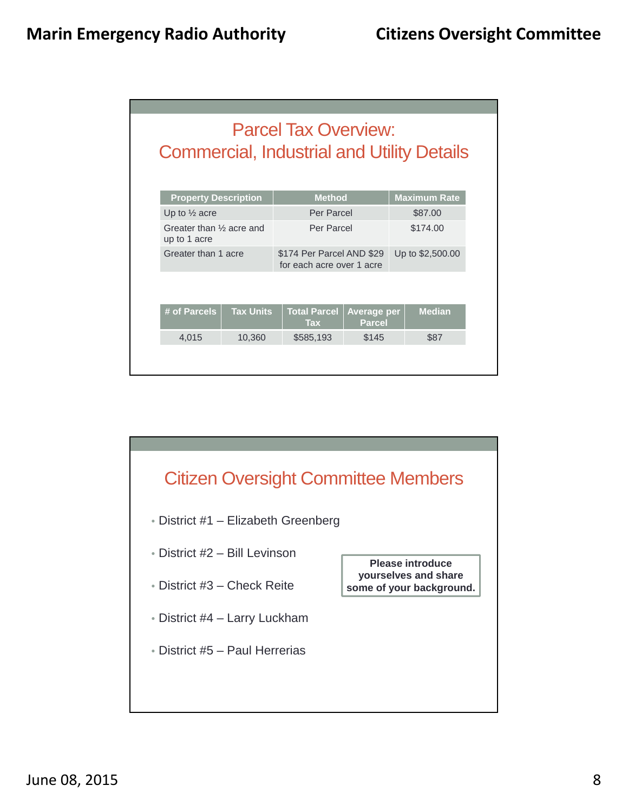|                                                       |                  | <b>Parcel Tax Overview:</b>                            |                        | <b>Commercial, Industrial and Utility Details</b> |
|-------------------------------------------------------|------------------|--------------------------------------------------------|------------------------|---------------------------------------------------|
| <b>Property Description</b>                           |                  | <b>Method</b>                                          |                        | <b>Maximum Rate</b>                               |
| Up to $\frac{1}{2}$ acre                              |                  | Per Parcel                                             | \$87.00                |                                                   |
| Greater than 1/ <sub>2</sub> acre and<br>up to 1 acre |                  | Per Parcel                                             | \$174.00               |                                                   |
| Greater than 1 acre                                   |                  | \$174 Per Parcel AND \$29<br>for each acre over 1 acre | Up to \$2,500.00       |                                                   |
| # of Parcels                                          | <b>Tax Units</b> | <b>Total Parcel</b><br><b>Tax</b>                      | Average per            | <b>Median</b>                                     |
|                                                       | 4,015<br>10,360  |                                                        | <b>Parcel</b><br>\$145 | \$87                                              |
|                                                       |                  | \$585,193                                              |                        |                                                   |

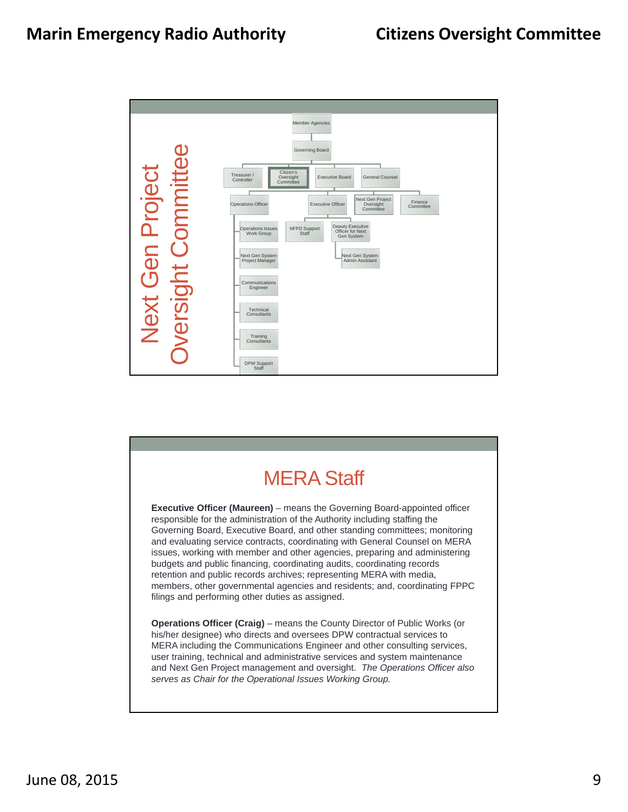

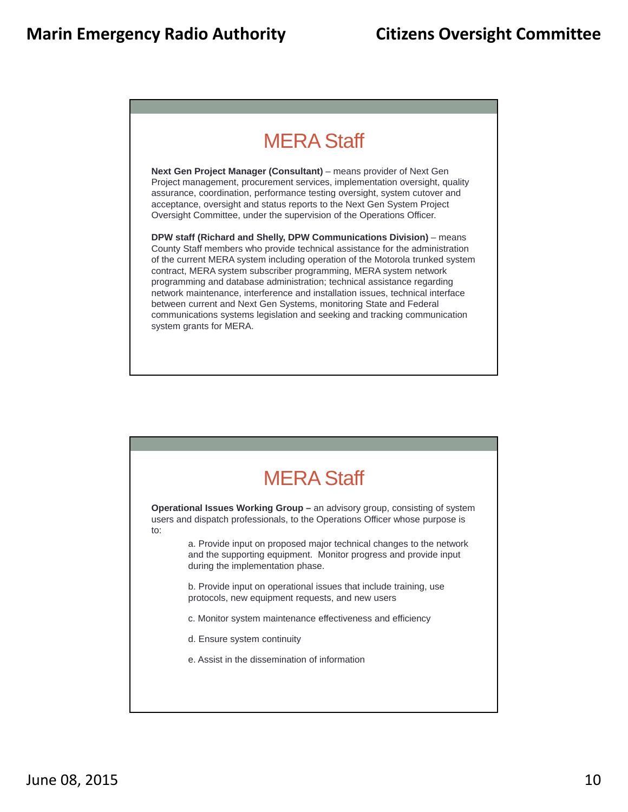# MERA Staff

Next Gen Project Manager (Consultant) - means provider of Next Gen Project management, procurement services, implementation oversight, quality assurance, coordination, performance testing oversight, system cutover and acceptance, oversight and status reports to the Next Gen System Project Oversight Committee, under the supervision of the Operations Officer.

**DPW staff (Richard and Shelly, DPW Communications Division)** – means County Staff members who provide technical assistance for the administration of the current MERA system including operation of the Motorola trunked system contract, MERA system subscriber programming, MERA system network programming and database administration; technical assistance regarding network maintenance, interference and installation issues, technical interface between current and Next Gen Systems, monitoring State and Federal communications systems legislation and seeking and tracking communication system grants for MERA.

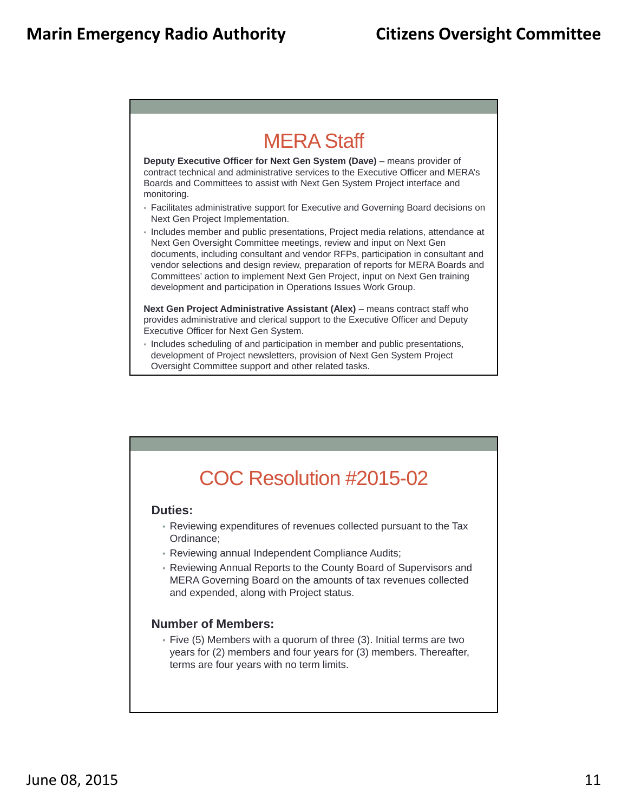## MERA Staff

**Deputy Executive Officer for Next Gen System (Dave)** – means provider of contract technical and administrative services to the Executive Officer and MERA's Boards and Committees to assist with Next Gen System Project interface and monitoring.

- Facilitates administrative support for Executive and Governing Board decisions on Next Gen Project Implementation.
- Includes member and public presentations, Project media relations, attendance at Next Gen Oversight Committee meetings, review and input on Next Gen documents, including consultant and vendor RFPs, participation in consultant and vendor selections and design review, preparation of reports for MERA Boards and Committees' action to implement Next Gen Project, input on Next Gen training development and participation in Operations Issues Work Group.

**Next Gen Project Administrative Assistant (Alex)** – means contract staff who provides administrative and clerical support to the Executive Officer and Deputy Executive Officer for Next Gen System.

• Includes scheduling of and participation in member and public presentations, development of Project newsletters, provision of Next Gen System Project Oversight Committee support and other related tasks.

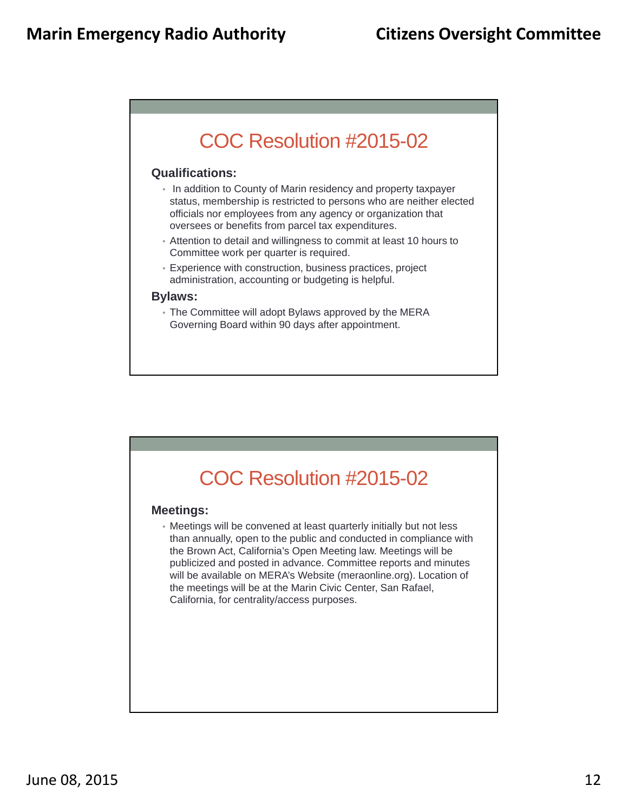# COC Resolution #2015-02

#### **Qualifications:**

- In addition to County of Marin residency and property taxpayer status, membership is restricted to persons who are neither elected officials nor employees from any agency or organization that oversees or benefits from parcel tax expenditures.
- Attention to detail and willingness to commit at least 10 hours to Committee work per quarter is required.
- Experience with construction, business practices, project administration, accounting or budgeting is helpful.

#### **Bylaws:**

• The Committee will adopt Bylaws approved by the MERA Governing Board within 90 days after appointment.



#### **Meetings:**

• Meetings will be convened at least quarterly initially but not less than annually, open to the public and conducted in compliance with the Brown Act, California's Open Meeting law. Meetings will be publicized and posted in advance. Committee reports and minutes will be available on MERA's Website (meraonline.org). Location of the meetings will be at the Marin Civic Center, San Rafael, California, for centrality/access purposes.